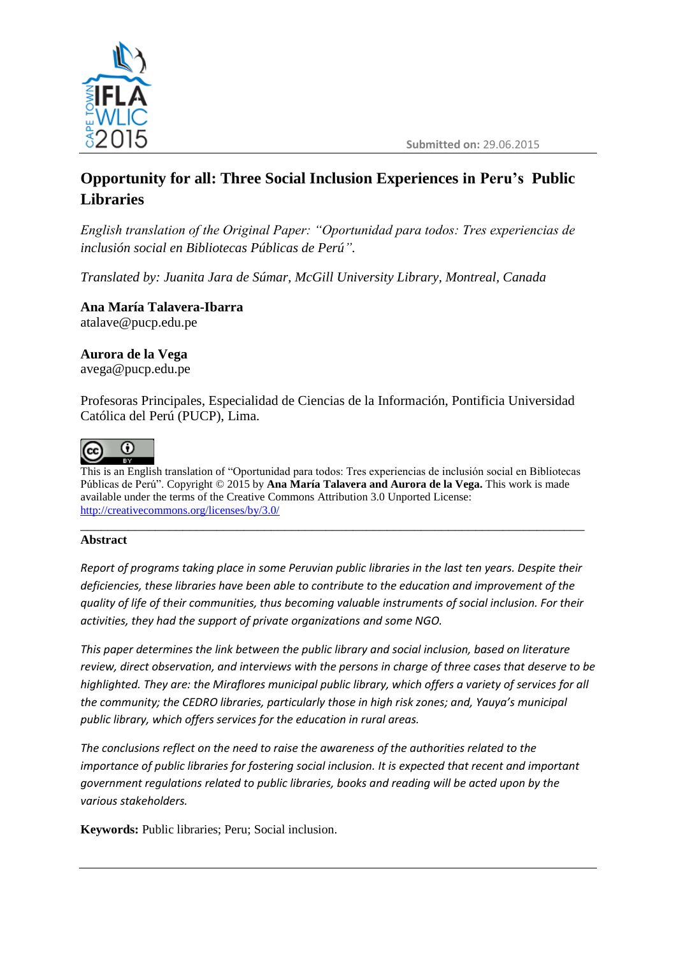

# **Opportunity for all: Three Social Inclusion Experiences in Peru's Public Libraries**

*English translation of the Original Paper: "Oportunidad para todos: Tres experiencias de inclusión social en Bibliotecas Públicas de Perú".*

*Translated by: Juanita Jara de Súmar, McGill University Library, Montreal, Canada*

**Ana María Talavera-Ibarra** atalave@pucp.edu.pe

### **Aurora de la Vega**

avega@pucp.edu.pe

Profesoras Principales, Especialidad de Ciencias de la Información, Pontificia Universidad Católica del Perú (PUCP), Lima.



 $\overline{\phantom{a}}$ This is an English translation of "Oportunidad para todos: Tres experiencias de inclusión social en Bibliotecas Públicas de Perú". Copyright © 2015 by **Ana María Talavera and Aurora de la Vega.** This work is made available under the terms of the Creative Commons Attribution 3.0 Unported License: <http://creativecommons.org/licenses/by/3.0/>

#### \_\_\_\_\_\_\_\_\_\_\_\_\_\_\_\_\_\_\_\_\_\_\_\_\_\_\_\_\_\_\_\_\_\_\_\_\_\_\_\_\_\_\_\_\_\_\_\_\_\_\_\_\_\_\_\_\_\_\_\_\_\_\_\_\_\_\_\_\_\_\_\_\_\_ **Abstract**

*Report of programs taking place in some Peruvian public libraries in the last ten years. Despite their deficiencies, these libraries have been able to contribute to the education and improvement of the quality of life of their communities, thus becoming valuable instruments of social inclusion. For their activities, they had the support of private organizations and some NGO.*

*This paper determines the link between the public library and social inclusion, based on literature review, direct observation, and interviews with the persons in charge of three cases that deserve to be highlighted. They are: the Miraflores municipal public library, which offers a variety of services for all the community; the CEDRO libraries, particularly those in high risk zones; and, Yauya's municipal public library, which offers services for the education in rural areas.*

*The conclusions reflect on the need to raise the awareness of the authorities related to the importance of public libraries for fostering social inclusion. It is expected that recent and important government regulations related to public libraries, books and reading will be acted upon by the various stakeholders.*

**Keywords:** Public libraries; Peru; Social inclusion.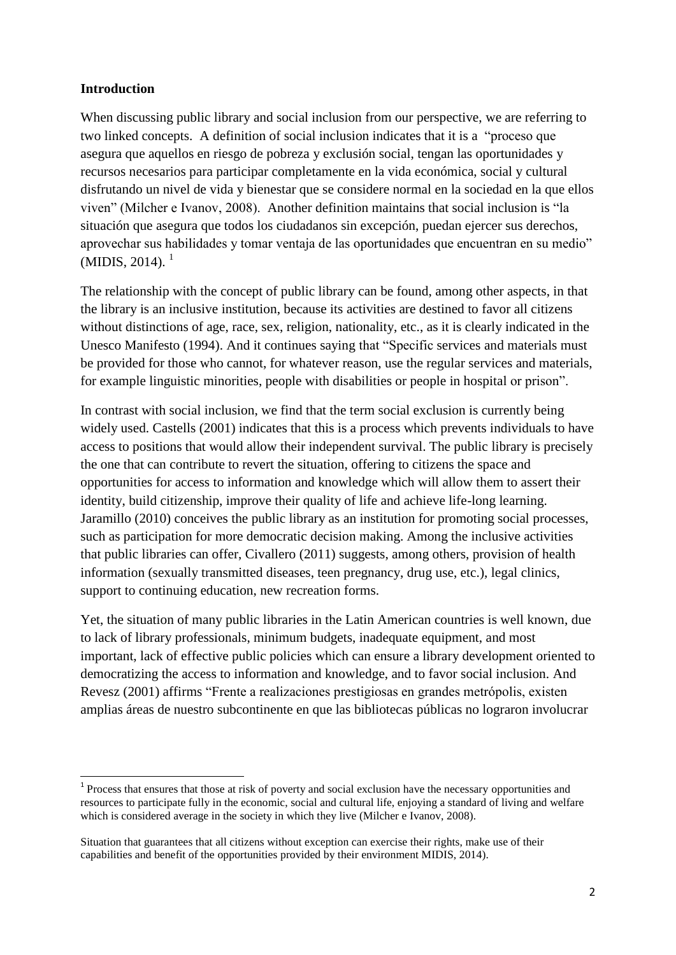#### **Introduction**

l

When discussing public library and social inclusion from our perspective, we are referring to two linked concepts. A definition of social inclusion indicates that it is a "proceso que asegura que aquellos en riesgo de pobreza y exclusión social, tengan las oportunidades y recursos necesarios para participar completamente en la vida económica, social y cultural disfrutando un nivel de vida y bienestar que se considere normal en la sociedad en la que ellos viven" (Milcher e Ivanov, 2008). Another definition maintains that social inclusion is "la situación que asegura que todos los ciudadanos sin excepción, puedan ejercer sus derechos, aprovechar sus habilidades y tomar ventaja de las oportunidades que encuentran en su medio"  $(MIDIS, 2014).$ <sup>1</sup>

The relationship with the concept of public library can be found, among other aspects, in that the library is an inclusive institution, because its activities are destined to favor all citizens without distinctions of age, race, sex, religion, nationality, etc., as it is clearly indicated in the Unesco Manifesto (1994). And it continues saying that "Specific services and materials must be provided for those who cannot, for whatever reason, use the regular services and materials, for example linguistic minorities, people with disabilities or people in hospital or prison".

In contrast with social inclusion, we find that the term social exclusion is currently being widely used. Castells (2001) indicates that this is a process which prevents individuals to have access to positions that would allow their independent survival. The public library is precisely the one that can contribute to revert the situation, offering to citizens the space and opportunities for access to information and knowledge which will allow them to assert their identity, build citizenship, improve their quality of life and achieve life-long learning. Jaramillo (2010) conceives the public library as an institution for promoting social processes, such as participation for more democratic decision making. Among the inclusive activities that public libraries can offer, Civallero (2011) suggests, among others, provision of health information (sexually transmitted diseases, teen pregnancy, drug use, etc.), legal clinics, support to continuing education, new recreation forms.

Yet, the situation of many public libraries in the Latin American countries is well known, due to lack of library professionals, minimum budgets, inadequate equipment, and most important, lack of effective public policies which can ensure a library development oriented to democratizing the access to information and knowledge, and to favor social inclusion. And Revesz (2001) affirms "Frente a realizaciones prestigiosas en grandes metrópolis, existen amplias áreas de nuestro subcontinente en que las bibliotecas públicas no lograron involucrar

<sup>&</sup>lt;sup>1</sup> Process that ensures that those at risk of poverty and social exclusion have the necessary opportunities and resources to participate fully in the economic, social and cultural life, enjoying a standard of living and welfare which is considered average in the society in which they live (Milcher e Ivanov, 2008).

Situation that guarantees that all citizens without exception can exercise their rights, make use of their capabilities and benefit of the opportunities provided by their environment MIDIS, 2014).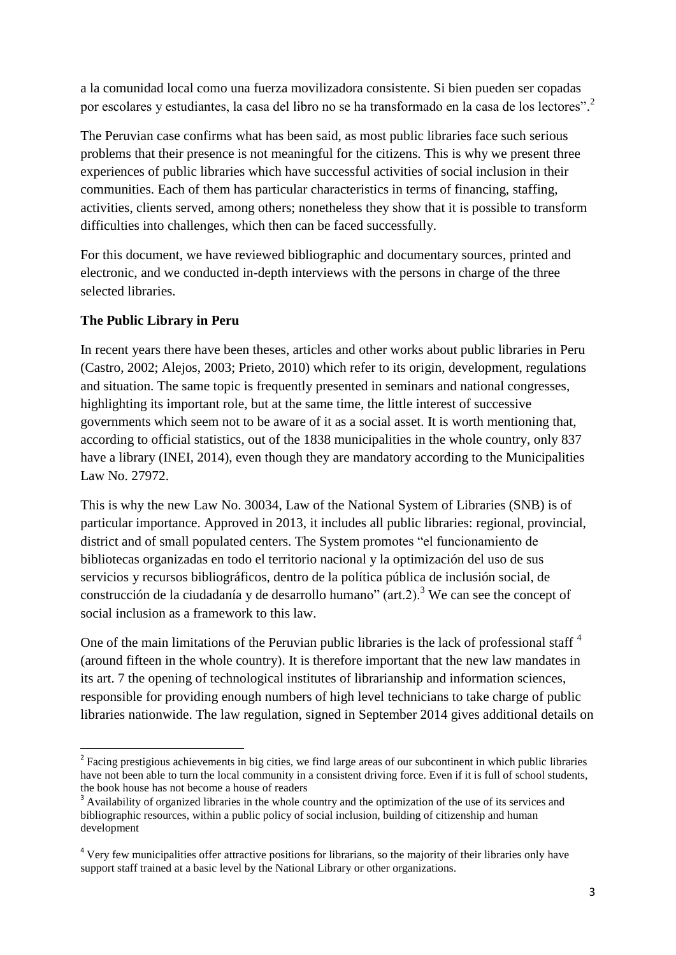a la comunidad local como una fuerza movilizadora consistente. Si bien pueden ser copadas por escolares y estudiantes, la casa del libro no se ha transformado en la casa de los lectores".<sup>2</sup>

The Peruvian case confirms what has been said, as most public libraries face such serious problems that their presence is not meaningful for the citizens. This is why we present three experiences of public libraries which have successful activities of social inclusion in their communities. Each of them has particular characteristics in terms of financing, staffing, activities, clients served, among others; nonetheless they show that it is possible to transform difficulties into challenges, which then can be faced successfully.

For this document, we have reviewed bibliographic and documentary sources, printed and electronic, and we conducted in-depth interviews with the persons in charge of the three selected libraries.

#### **The Public Library in Peru**

In recent years there have been theses, articles and other works about public libraries in Peru (Castro, 2002; Alejos, 2003; Prieto, 2010) which refer to its origin, development, regulations and situation. The same topic is frequently presented in seminars and national congresses, highlighting its important role, but at the same time, the little interest of successive governments which seem not to be aware of it as a social asset. It is worth mentioning that, according to official statistics, out of the 1838 municipalities in the whole country, only 837 have a library (INEI, 2014), even though they are mandatory according to the Municipalities Law No. 27972.

This is why the new Law No. 30034, Law of the National System of Libraries (SNB) is of particular importance. Approved in 2013, it includes all public libraries: regional, provincial, district and of small populated centers. The System promotes "el funcionamiento de bibliotecas organizadas en todo el territorio nacional y la optimización del uso de sus servicios y recursos bibliográficos, dentro de la política pública de inclusión social, de construcción de la ciudadanía y de desarrollo humano" (art.2).<sup>3</sup> We can see the concept of social inclusion as a framework to this law.

One of the main limitations of the Peruvian public libraries is the lack of professional staff<sup>4</sup> (around fifteen in the whole country). It is therefore important that the new law mandates in its art. 7 the opening of technological institutes of librarianship and information sciences, responsible for providing enough numbers of high level technicians to take charge of public libraries nationwide. The law regulation, signed in September 2014 gives additional details on

l <sup>2</sup> Facing prestigious achievements in big cities, we find large areas of our subcontinent in which public libraries have not been able to turn the local community in a consistent driving force. Even if it is full of school students, the book house has not become a house of readers

<sup>&</sup>lt;sup>3</sup> Availability of organized libraries in the whole country and the optimization of the use of its services and bibliographic resources, within a public policy of social inclusion, building of citizenship and human development

<sup>&</sup>lt;sup>4</sup> Very few municipalities offer attractive positions for librarians, so the majority of their libraries only have support staff trained at a basic level by the National Library or other organizations.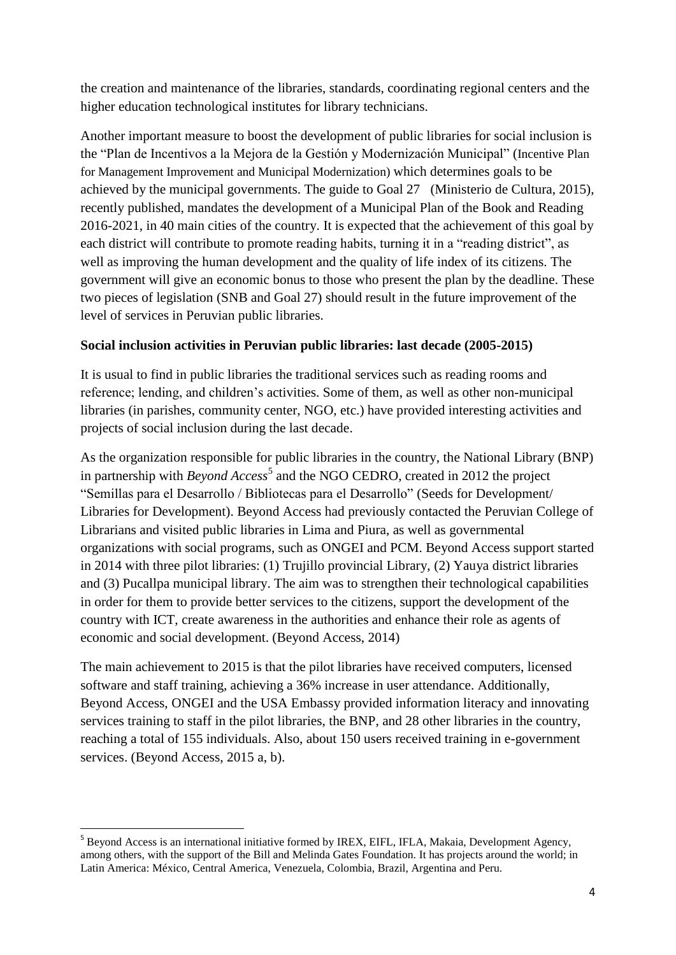the creation and maintenance of the libraries, standards, coordinating regional centers and the higher education technological institutes for library technicians.

Another important measure to boost the development of public libraries for social inclusion is the "Plan de Incentivos a la Mejora de la Gestión y Modernización Municipal" (Incentive Plan for Management Improvement and Municipal Modernization) which determines goals to be achieved by the municipal governments. The guide to Goal 27 (Ministerio de Cultura, 2015), recently published, mandates the development of a Municipal Plan of the Book and Reading 2016-2021, in 40 main cities of the country. It is expected that the achievement of this goal by each district will contribute to promote reading habits, turning it in a "reading district", as well as improving the human development and the quality of life index of its citizens. The government will give an economic bonus to those who present the plan by the deadline. These two pieces of legislation (SNB and Goal 27) should result in the future improvement of the level of services in Peruvian public libraries.

#### **Social inclusion activities in Peruvian public libraries: last decade (2005-2015)**

It is usual to find in public libraries the traditional services such as reading rooms and reference; lending, and children's activities. Some of them, as well as other non-municipal libraries (in parishes, community center, NGO, etc.) have provided interesting activities and projects of social inclusion during the last decade.

As the organization responsible for public libraries in the country, the National Library (BNP) in partnership with *Beyond Access*<sup>5</sup> and the NGO CEDRO, created in 2012 the project "Semillas para el Desarrollo / Bibliotecas para el Desarrollo" (Seeds for Development/ Libraries for Development). Beyond Access had previously contacted the Peruvian College of Librarians and visited public libraries in Lima and Piura, as well as governmental organizations with social programs, such as ONGEI and PCM. Beyond Access support started in 2014 with three pilot libraries: (1) Trujillo provincial Library, (2) Yauya district libraries and (3) Pucallpa municipal library. The aim was to strengthen their technological capabilities in order for them to provide better services to the citizens, support the development of the country with ICT, create awareness in the authorities and enhance their role as agents of economic and social development. (Beyond Access, 2014)

The main achievement to 2015 is that the pilot libraries have received computers, licensed software and staff training, achieving a 36% increase in user attendance. Additionally, Beyond Access, ONGEI and the USA Embassy provided information literacy and innovating services training to staff in the pilot libraries, the BNP, and 28 other libraries in the country, reaching a total of 155 individuals. Also, about 150 users received training in e-government services. (Beyond Access, 2015 a, b).

l

<sup>&</sup>lt;sup>5</sup> Beyond Access is an international initiative formed by IREX, EIFL, IFLA, Makaia, Development Agency, among others, with the support of the Bill and Melinda Gates Foundation. It has projects around the world; in Latin America: México, Central America, Venezuela, Colombia, Brazil, Argentina and Peru.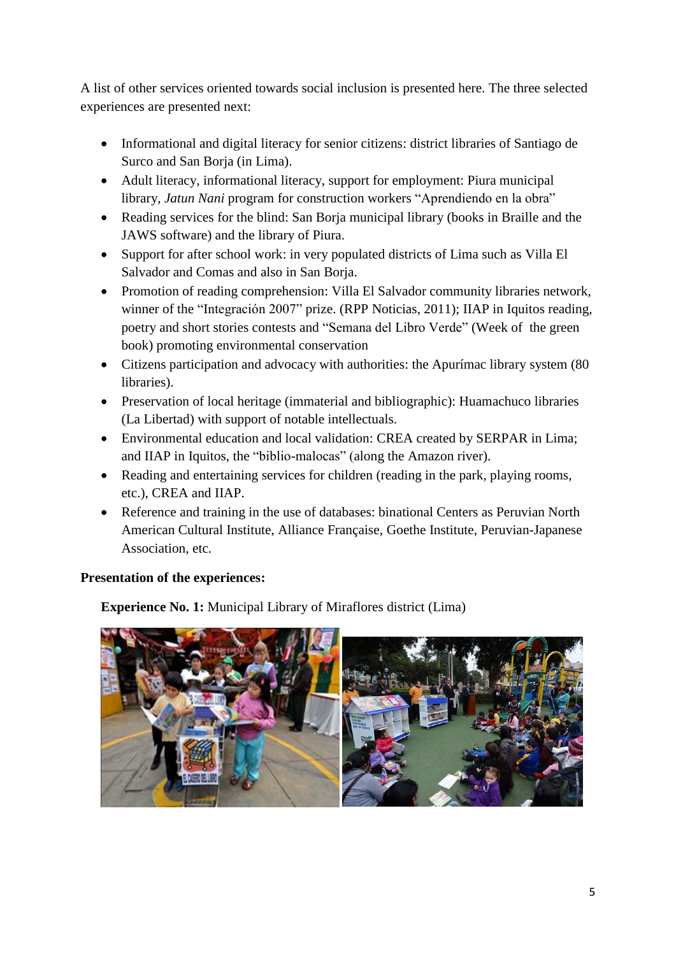A list of other services oriented towards social inclusion is presented here. The three selected experiences are presented next:

- Informational and digital literacy for senior citizens: district libraries of Santiago de Surco and San Borja (in Lima).
- Adult literacy, informational literacy, support for employment: Piura municipal library, *Jatun Nani* program for construction workers "Aprendiendo en la obra"
- Reading services for the blind: San Borja municipal library (books in Braille and the JAWS software) and the library of Piura.
- Support for after school work: in very populated districts of Lima such as Villa El Salvador and Comas and also in San Borja.
- Promotion of reading comprehension: Villa El Salvador community libraries network, winner of the "Integración 2007" prize. (RPP Noticias, 2011); IIAP in Iquitos reading, poetry and short stories contests and "Semana del Libro Verde" (Week of the green book) promoting environmental conservation
- Citizens participation and advocacy with authorities: the Apurímac library system (80 libraries).
- Preservation of local heritage (immaterial and bibliographic): Huamachuco libraries (La Libertad) with support of notable intellectuals.
- Environmental education and local validation: CREA created by SERPAR in Lima; and IIAP in Iquitos, the "biblio-malocas" (along the Amazon river).
- Reading and entertaining services for children (reading in the park, playing rooms, etc.), CREA and IIAP.
- Reference and training in the use of databases: binational Centers as Peruvian North American Cultural Institute, Alliance Française, Goethe Institute, Peruvian-Japanese Association, etc.

# **Presentation of the experiences:**

**Experience No. 1:** Municipal Library of Miraflores district (Lima)

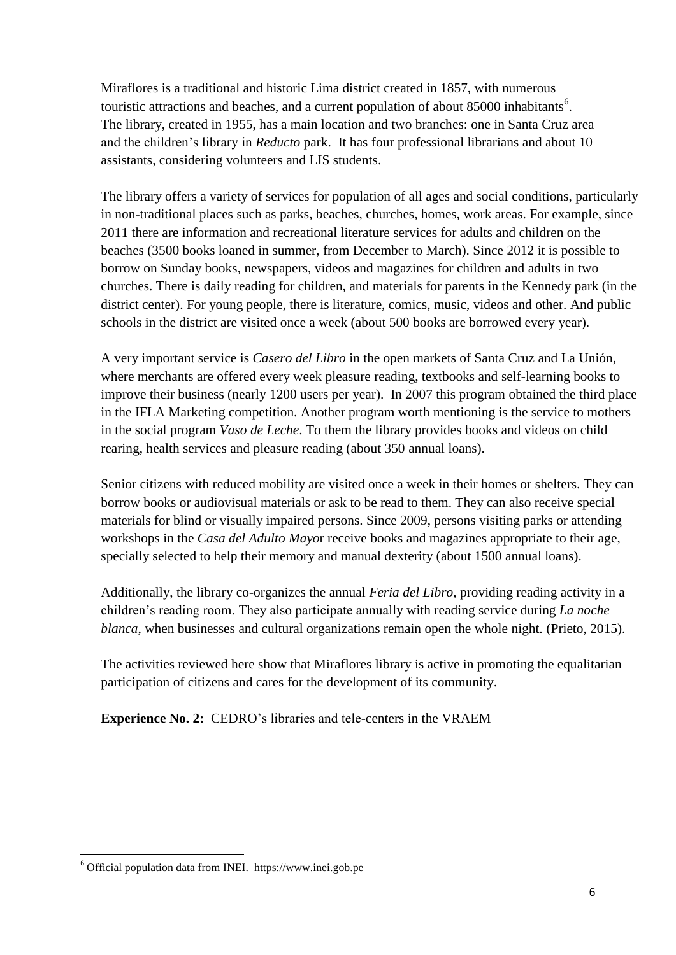Miraflores is a traditional and historic Lima district created in 1857, with numerous touristic attractions and beaches, and a current population of about  $85000$  inhabitants<sup>6</sup>. The library, created in 1955, has a main location and two branches: one in Santa Cruz area and the children's library in *Reducto* park. It has four professional librarians and about 10 assistants, considering volunteers and LIS students.

The library offers a variety of services for population of all ages and social conditions, particularly in non-traditional places such as parks, beaches, churches, homes, work areas. For example, since 2011 there are information and recreational literature services for adults and children on the beaches (3500 books loaned in summer, from December to March). Since 2012 it is possible to borrow on Sunday books, newspapers, videos and magazines for children and adults in two churches. There is daily reading for children, and materials for parents in the Kennedy park (in the district center). For young people, there is literature, comics, music, videos and other. And public schools in the district are visited once a week (about 500 books are borrowed every year).

A very important service is *Casero del Libro* in the open markets of Santa Cruz and La Unión, where merchants are offered every week pleasure reading, textbooks and self-learning books to improve their business (nearly 1200 users per year). In 2007 this program obtained the third place in the IFLA Marketing competition. Another program worth mentioning is the service to mothers in the social program *Vaso de Leche*. To them the library provides books and videos on child rearing, health services and pleasure reading (about 350 annual loans).

Senior citizens with reduced mobility are visited once a week in their homes or shelters. They can borrow books or audiovisual materials or ask to be read to them. They can also receive special materials for blind or visually impaired persons. Since 2009, persons visiting parks or attending workshops in the *Casa del Adulto Mayo*r receive books and magazines appropriate to their age, specially selected to help their memory and manual dexterity (about 1500 annual loans).

Additionally, the library co-organizes the annual *Feria del Libro*, providing reading activity in a children's reading room. They also participate annually with reading service during *La noche blanca*, when businesses and cultural organizations remain open the whole night. (Prieto, 2015).

The activities reviewed here show that Miraflores library is active in promoting the equalitarian participation of citizens and cares for the development of its community.

**Experience No. 2:** CEDRO's libraries and tele-centers in the VRAEM

 $\overline{\phantom{a}}$ 

 $6$  Official population data from INEI. https://www.inei.gob.pe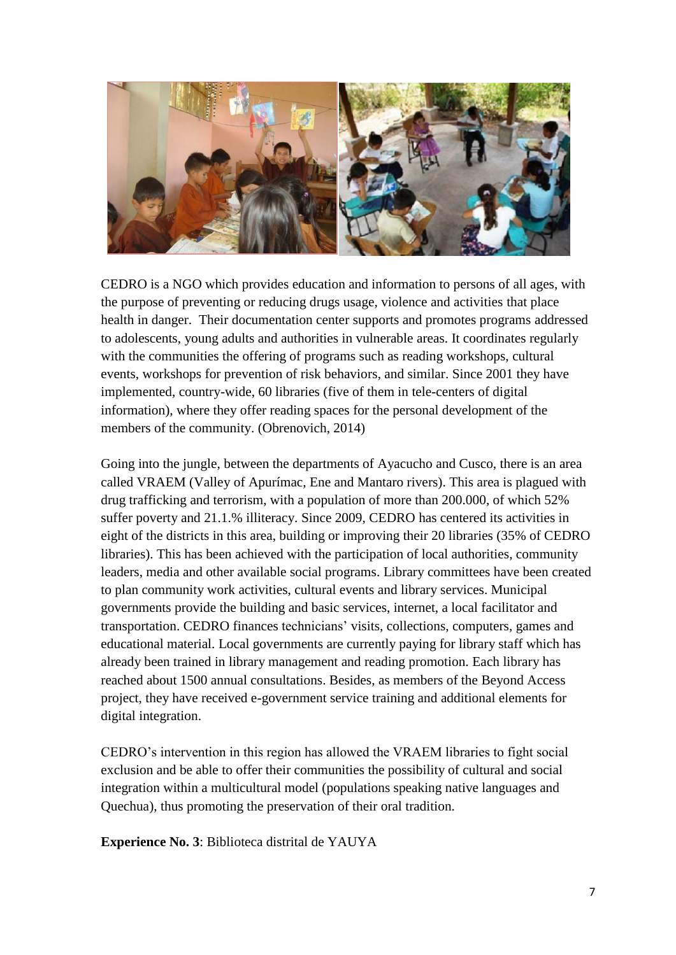

CEDRO is a NGO which provides education and information to persons of all ages, with the purpose of preventing or reducing drugs usage, violence and activities that place health in danger. Their documentation center supports and promotes programs addressed to adolescents, young adults and authorities in vulnerable areas. It coordinates regularly with the communities the offering of programs such as reading workshops, cultural events, workshops for prevention of risk behaviors, and similar. Since 2001 they have implemented, country-wide, 60 libraries (five of them in tele-centers of digital information), where they offer reading spaces for the personal development of the members of the community. (Obrenovich, 2014)

Going into the jungle, between the departments of Ayacucho and Cusco, there is an area called VRAEM (Valley of Apurímac, Ene and Mantaro rivers). This area is plagued with drug trafficking and terrorism, with a population of more than 200.000, of which 52% suffer poverty and 21.1.% illiteracy. Since 2009, CEDRO has centered its activities in eight of the districts in this area, building or improving their 20 libraries (35% of CEDRO libraries). This has been achieved with the participation of local authorities, community leaders, media and other available social programs. Library committees have been created to plan community work activities, cultural events and library services. Municipal governments provide the building and basic services, internet, a local facilitator and transportation. CEDRO finances technicians' visits, collections, computers, games and educational material. Local governments are currently paying for library staff which has already been trained in library management and reading promotion. Each library has reached about 1500 annual consultations. Besides, as members of the Beyond Access project, they have received e-government service training and additional elements for digital integration.

CEDRO's intervention in this region has allowed the VRAEM libraries to fight social exclusion and be able to offer their communities the possibility of cultural and social integration within a multicultural model (populations speaking native languages and Quechua), thus promoting the preservation of their oral tradition.

**Experience No. 3**: Biblioteca distrital de YAUYA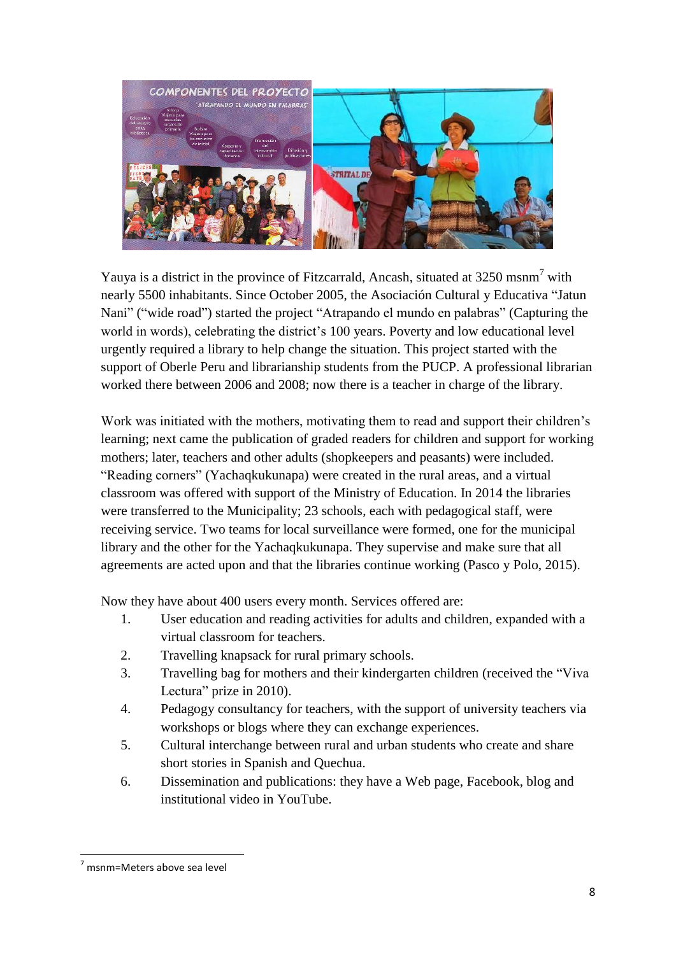

Yauya is a district in the province of Fitzcarrald, Ancash, situated at 3250 msnm<sup>7</sup> with nearly 5500 inhabitants. Since October 2005, the Asociación Cultural y Educativa "Jatun Nani" ("wide road") started the project "Atrapando el mundo en palabras" (Capturing the world in words), celebrating the district's 100 years. Poverty and low educational level urgently required a library to help change the situation. This project started with the support of Oberle Peru and librarianship students from the PUCP. A professional librarian worked there between 2006 and 2008; now there is a teacher in charge of the library.

Work was initiated with the mothers, motivating them to read and support their children's learning; next came the publication of graded readers for children and support for working mothers; later, teachers and other adults (shopkeepers and peasants) were included. "Reading corners" (Yachaqkukunapa) were created in the rural areas, and a virtual classroom was offered with support of the Ministry of Education. In 2014 the libraries were transferred to the Municipality; 23 schools, each with pedagogical staff, were receiving service. Two teams for local surveillance were formed, one for the municipal library and the other for the Yachaqkukunapa. They supervise and make sure that all agreements are acted upon and that the libraries continue working (Pasco y Polo, 2015).

Now they have about 400 users every month. Services offered are:

- 1. User education and reading activities for adults and children, expanded with a virtual classroom for teachers.
- 2. Travelling knapsack for rural primary schools.
- 3. Travelling bag for mothers and their kindergarten children (received the "Viva Lectura" prize in 2010).
- 4. Pedagogy consultancy for teachers, with the support of university teachers via workshops or blogs where they can exchange experiences.
- 5. Cultural interchange between rural and urban students who create and share short stories in Spanish and Quechua.
- 6. Dissemination and publications: they have a Web page, Facebook, blog and institutional video in YouTube.

 $\overline{\phantom{a}}$ 

 $<sup>7</sup>$  msnm=Meters above sea level</sup>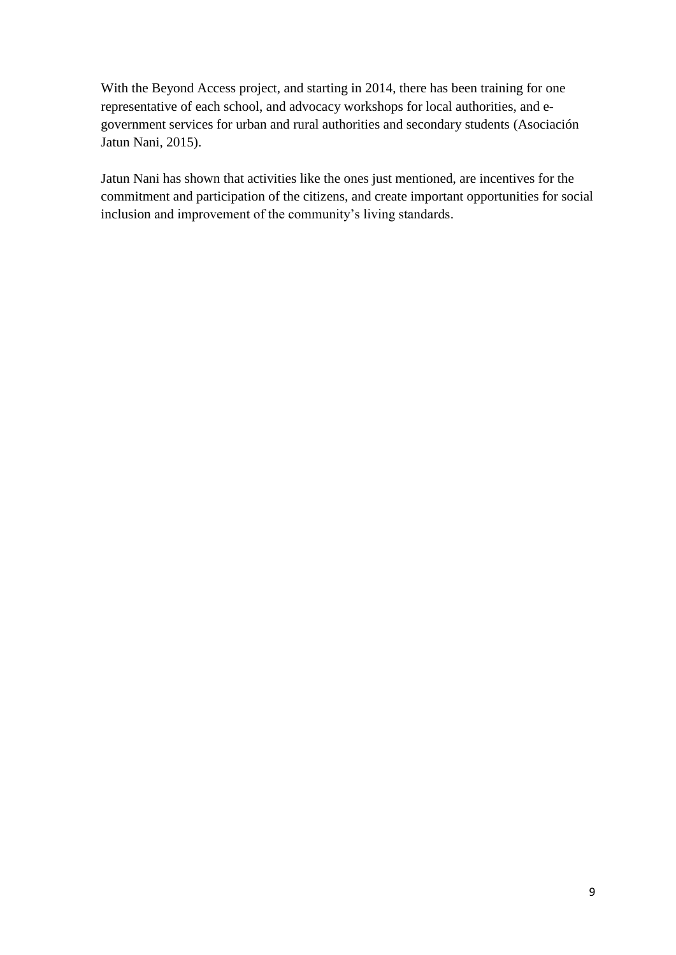With the Beyond Access project, and starting in 2014, there has been training for one representative of each school, and advocacy workshops for local authorities, and egovernment services for urban and rural authorities and secondary students (Asociación Jatun Nani, 2015).

Jatun Nani has shown that activities like the ones just mentioned, are incentives for the commitment and participation of the citizens, and create important opportunities for social inclusion and improvement of the community's living standards.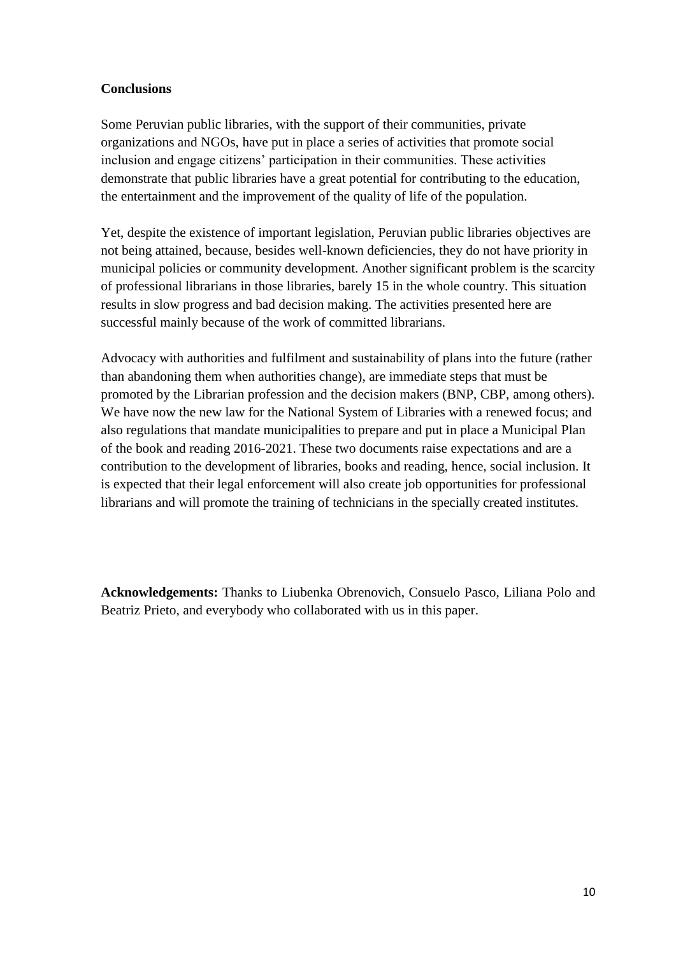#### **Conclusions**

Some Peruvian public libraries, with the support of their communities, private organizations and NGOs, have put in place a series of activities that promote social inclusion and engage citizens' participation in their communities. These activities demonstrate that public libraries have a great potential for contributing to the education, the entertainment and the improvement of the quality of life of the population.

Yet, despite the existence of important legislation, Peruvian public libraries objectives are not being attained, because, besides well-known deficiencies, they do not have priority in municipal policies or community development. Another significant problem is the scarcity of professional librarians in those libraries, barely 15 in the whole country. This situation results in slow progress and bad decision making. The activities presented here are successful mainly because of the work of committed librarians.

Advocacy with authorities and fulfilment and sustainability of plans into the future (rather than abandoning them when authorities change), are immediate steps that must be promoted by the Librarian profession and the decision makers (BNP, CBP, among others). We have now the new law for the National System of Libraries with a renewed focus; and also regulations that mandate municipalities to prepare and put in place a Municipal Plan of the book and reading 2016-2021. These two documents raise expectations and are a contribution to the development of libraries, books and reading, hence, social inclusion. It is expected that their legal enforcement will also create job opportunities for professional librarians and will promote the training of technicians in the specially created institutes.

**Acknowledgements:** Thanks to Liubenka Obrenovich, Consuelo Pasco, Liliana Polo and Beatriz Prieto, and everybody who collaborated with us in this paper.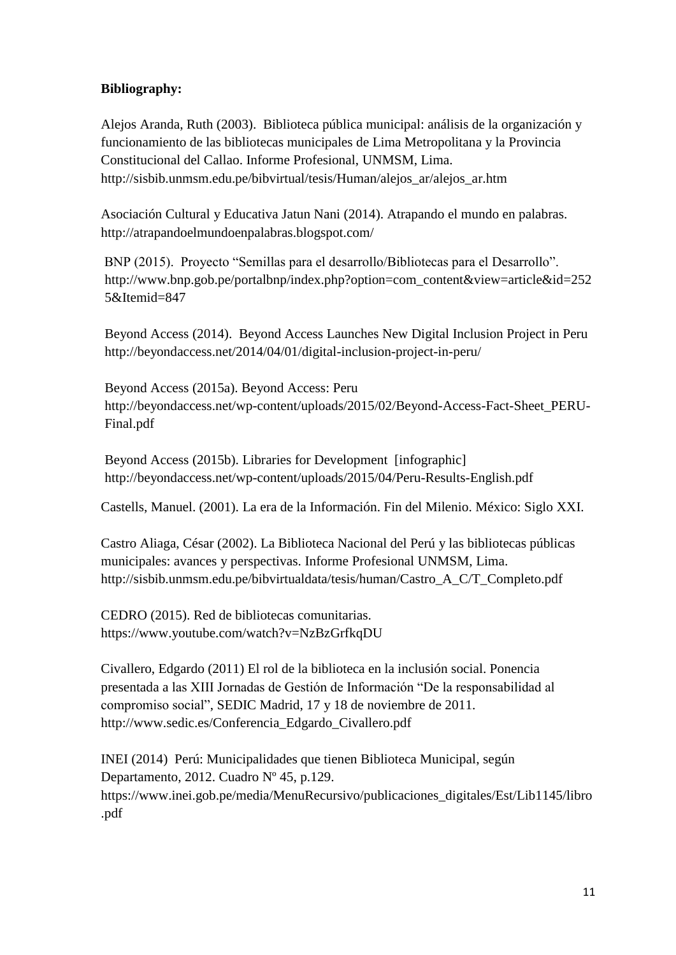#### **Bibliography:**

Alejos Aranda, Ruth (2003). Biblioteca pública municipal: análisis de la organización y funcionamiento de las bibliotecas municipales de Lima Metropolitana y la Provincia Constitucional del Callao. Informe Profesional, UNMSM, Lima. http://sisbib.unmsm.edu.pe/bibvirtual/tesis/Human/alejos\_ar/alejos\_ar.htm

Asociación Cultural y Educativa Jatun Nani (2014). Atrapando el mundo en palabras. http://atrapandoelmundoenpalabras.blogspot.com/

 BNP (2015). Proyecto "Semillas para el desarrollo/Bibliotecas para el Desarrollo". http://www.bnp.gob.pe/portalbnp/index.php?option=com\_content&view=article&id=252 5&Itemid=847

Beyond Access (2014). Beyond Access Launches New Digital Inclusion Project in Peru http://beyondaccess.net/2014/04/01/digital-inclusion-project-in-peru/

Beyond Access (2015a). Beyond Access: Peru http://beyondaccess.net/wp-content/uploads/2015/02/Beyond-Access-Fact-Sheet\_PERU-Final.pdf

Beyond Access (2015b). Libraries for Development [infographic] http://beyondaccess.net/wp-content/uploads/2015/04/Peru-Results-English.pdf

Castells, Manuel. (2001). La era de la Información. Fin del Milenio. México: Siglo XXI.

Castro Aliaga, César (2002). La Biblioteca Nacional del Perú y las bibliotecas públicas municipales: avances y perspectivas. Informe Profesional UNMSM, Lima. http://sisbib.unmsm.edu.pe/bibvirtualdata/tesis/human/Castro\_A\_C/T\_Completo.pdf

CEDRO (2015). Red de bibliotecas comunitarias. https://www.youtube.com/watch?v=NzBzGrfkqDU

Civallero, Edgardo (2011) El rol de la biblioteca en la inclusión social. Ponencia presentada a las XIII Jornadas de Gestión de Información "De la responsabilidad al compromiso social", SEDIC Madrid, 17 y 18 de noviembre de 2011. http://www.sedic.es/Conferencia\_Edgardo\_Civallero.pdf

INEI (2014) Perú: Municipalidades que tienen Biblioteca Municipal, según Departamento, 2012. Cuadro Nº 45, p.129. https://www.inei.gob.pe/media/MenuRecursivo/publicaciones\_digitales/Est/Lib1145/libro .pdf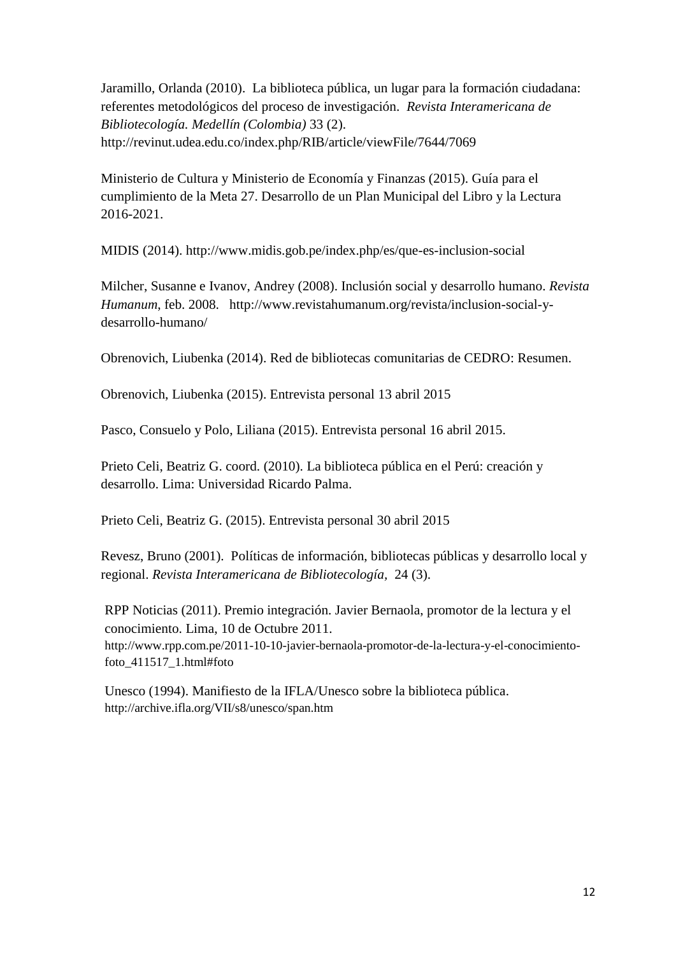Jaramillo, Orlanda (2010). La biblioteca pública, un lugar para la formación ciudadana: referentes metodológicos del proceso de investigación. *Revista Interamericana de Bibliotecología. Medellín (Colombia)* 33 (2). http://revinut.udea.edu.co/index.php/RIB/article/viewFile/7644/7069

Ministerio de Cultura y Ministerio de Economía y Finanzas (2015). Guía para el cumplimiento de la Meta 27. Desarrollo de un Plan Municipal del Libro y la Lectura 2016-2021.

MIDIS (2014). http://www.midis.gob.pe/index.php/es/que-es-inclusion-social

Milcher, Susanne e Ivanov, Andrey (2008). Inclusión social y desarrollo humano. *Revista Humanum*, feb. 2008. [http://www.revistahumanum.org/revista/inclusion-social-y](http://www.revistahumanum.org/revista/inclusion-social-y-desarrollo-humano/)[desarrollo-humano/](http://www.revistahumanum.org/revista/inclusion-social-y-desarrollo-humano/)

Obrenovich, Liubenka (2014). Red de bibliotecas comunitarias de CEDRO: Resumen.

Obrenovich, Liubenka (2015). Entrevista personal 13 abril 2015

Pasco, Consuelo y Polo, Liliana (2015). Entrevista personal 16 abril 2015.

Prieto Celi, Beatriz G. coord. (2010). La biblioteca pública en el Perú: creación y desarrollo. Lima: Universidad Ricardo Palma.

Prieto Celi, Beatriz G. (2015). Entrevista personal 30 abril 2015

Revesz, Bruno (2001). Políticas de información, bibliotecas públicas y desarrollo local y regional. *Revista Interamericana de Bibliotecología,* 24 (3).

RPP Noticias (2011). Premio integración. Javier Bernaola, promotor de la lectura y el conocimiento. Lima, 10 de Octubre 2011. [http://www.rpp.com.pe/2011-10-10-javier-bernaola-promotor-de-la-lectura-y-el-conocimiento](http://www.rpp.com.pe/2011-10-10-javier-bernaola-promotor-de-la-lectura-y-el-conocimiento-foto_411517_1.html#foto)[foto\\_411517\\_1.html#foto](http://www.rpp.com.pe/2011-10-10-javier-bernaola-promotor-de-la-lectura-y-el-conocimiento-foto_411517_1.html#foto)

Unesco (1994). Manifiesto de la IFLA/Unesco sobre la biblioteca pública. <http://archive.ifla.org/VII/s8/unesco/span.htm>